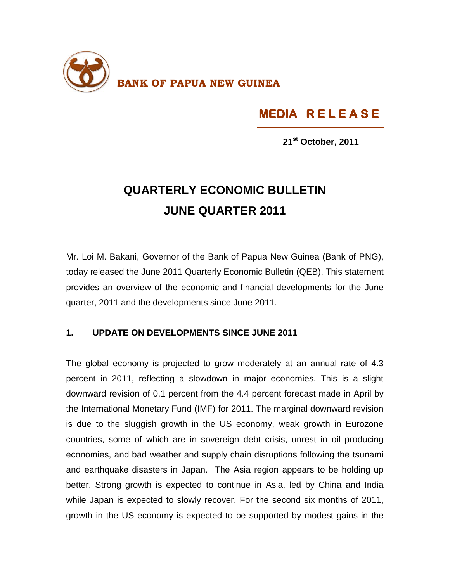

## **MEDIA R E L E A S E**

**21st October, 2011**

## **QUARTERLY ECONOMIC BULLETIN JUNE QUARTER 2011**

Mr. Loi M. Bakani, Governor of the Bank of Papua New Guinea (Bank of PNG), today released the June 2011 Quarterly Economic Bulletin (QEB). This statement provides an overview of the economic and financial developments for the June quarter, 2011 and the developments since June 2011.

## **1. UPDATE ON DEVELOPMENTS SINCE JUNE 2011**

The global economy is projected to grow moderately at an annual rate of 4.3 percent in 2011, reflecting a slowdown in major economies. This is a slight downward revision of 0.1 percent from the 4.4 percent forecast made in April by the International Monetary Fund (IMF) for 2011. The marginal downward revision is due to the sluggish growth in the US economy, weak growth in Eurozone countries, some of which are in sovereign debt crisis, unrest in oil producing economies, and bad weather and supply chain disruptions following the tsunami and earthquake disasters in Japan. The Asia region appears to be holding up better. Strong growth is expected to continue in Asia, led by China and India while Japan is expected to slowly recover. For the second six months of 2011, growth in the US economy is expected to be supported by modest gains in the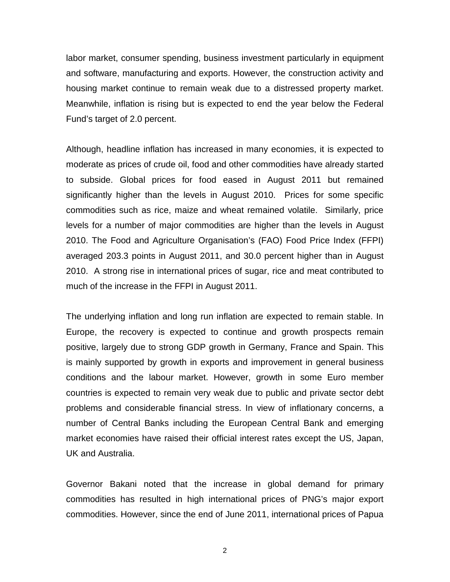labor market, consumer spending, business investment particularly in equipment and software, manufacturing and exports. However, the construction activity and housing market continue to remain weak due to a distressed property market. Meanwhile, inflation is rising but is expected to end the year below the Federal Fund's target of 2.0 percent.

Although, headline inflation has increased in many economies, it is expected to moderate as prices of crude oil, food and other commodities have already started to subside. Global prices for food eased in August 2011 but remained significantly higher than the levels in August 2010. Prices for some specific commodities such as rice, maize and wheat remained volatile. Similarly, price levels for a number of major commodities are higher than the levels in August 2010. The Food and Agriculture Organisation's (FAO) Food Price Index (FFPI) averaged 203.3 points in August 2011, and 30.0 percent higher than in August 2010. A strong rise in international prices of sugar, rice and meat contributed to much of the increase in the FFPI in August 2011.

The underlying inflation and long run inflation are expected to remain stable. In Europe, the recovery is expected to continue and growth prospects remain positive, largely due to strong GDP growth in Germany, France and Spain. This is mainly supported by growth in exports and improvement in general business conditions and the labour market. However, growth in some Euro member countries is expected to remain very weak due to public and private sector debt problems and considerable financial stress. In view of inflationary concerns, a number of Central Banks including the European Central Bank and emerging market economies have raised their official interest rates except the US, Japan, UK and Australia.

Governor Bakani noted that the increase in global demand for primary commodities has resulted in high international prices of PNG's major export commodities. However, since the end of June 2011, international prices of Papua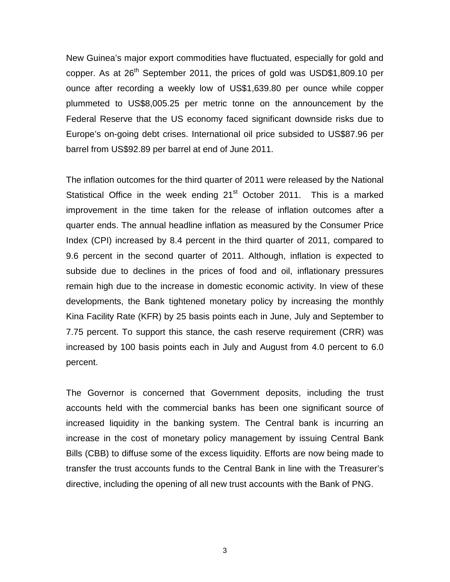New Guinea's major export commodities have fluctuated, especially for gold and copper. As at 26<sup>th</sup> September 2011, the prices of gold was USD\$1,809.10 per ounce after recording a weekly low of US\$1,639.80 per ounce while copper plummeted to US\$8,005.25 per metric tonne on the announcement by the Federal Reserve that the US economy faced significant downside risks due to Europe's on-going debt crises. International oil price subsided to US\$87.96 per barrel from US\$92.89 per barrel at end of June 2011.

The inflation outcomes for the third quarter of 2011 were released by the National Statistical Office in the week ending 21<sup>st</sup> October 2011. This is a marked improvement in the time taken for the release of inflation outcomes after a quarter ends. The annual headline inflation as measured by the Consumer Price Index (CPI) increased by 8.4 percent in the third quarter of 2011, compared to 9.6 percent in the second quarter of 2011. Although, inflation is expected to subside due to declines in the prices of food and oil, inflationary pressures remain high due to the increase in domestic economic activity. In view of these developments, the Bank tightened monetary policy by increasing the monthly Kina Facility Rate (KFR) by 25 basis points each in June, July and September to 7.75 percent. To support this stance, the cash reserve requirement (CRR) was increased by 100 basis points each in July and August from 4.0 percent to 6.0 percent.

The Governor is concerned that Government deposits, including the trust accounts held with the commercial banks has been one significant source of increased liquidity in the banking system. The Central bank is incurring an increase in the cost of monetary policy management by issuing Central Bank Bills (CBB) to diffuse some of the excess liquidity. Efforts are now being made to transfer the trust accounts funds to the Central Bank in line with the Treasurer's directive, including the opening of all new trust accounts with the Bank of PNG.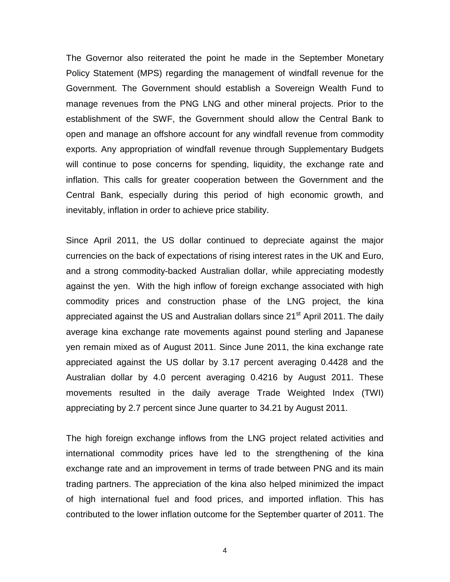The Governor also reiterated the point he made in the September Monetary Policy Statement (MPS) regarding the management of windfall revenue for the Government. The Government should establish a Sovereign Wealth Fund to manage revenues from the PNG LNG and other mineral projects. Prior to the establishment of the SWF, the Government should allow the Central Bank to open and manage an offshore account for any windfall revenue from commodity exports. Any appropriation of windfall revenue through Supplementary Budgets will continue to pose concerns for spending, liquidity, the exchange rate and inflation. This calls for greater cooperation between the Government and the Central Bank, especially during this period of high economic growth, and inevitably, inflation in order to achieve price stability.

Since April 2011, the US dollar continued to depreciate against the major currencies on the back of expectations of rising interest rates in the UK and Euro, and a strong commodity-backed Australian dollar, while appreciating modestly against the yen. With the high inflow of foreign exchange associated with high commodity prices and construction phase of the LNG project, the kina appreciated against the US and Australian dollars since 21<sup>st</sup> April 2011. The daily average kina exchange rate movements against pound sterling and Japanese yen remain mixed as of August 2011. Since June 2011, the kina exchange rate appreciated against the US dollar by 3.17 percent averaging 0.4428 and the Australian dollar by 4.0 percent averaging 0.4216 by August 2011. These movements resulted in the daily average Trade Weighted Index (TWI) appreciating by 2.7 percent since June quarter to 34.21 by August 2011.

The high foreign exchange inflows from the LNG project related activities and international commodity prices have led to the strengthening of the kina exchange rate and an improvement in terms of trade between PNG and its main trading partners. The appreciation of the kina also helped minimized the impact of high international fuel and food prices, and imported inflation. This has contributed to the lower inflation outcome for the September quarter of 2011. The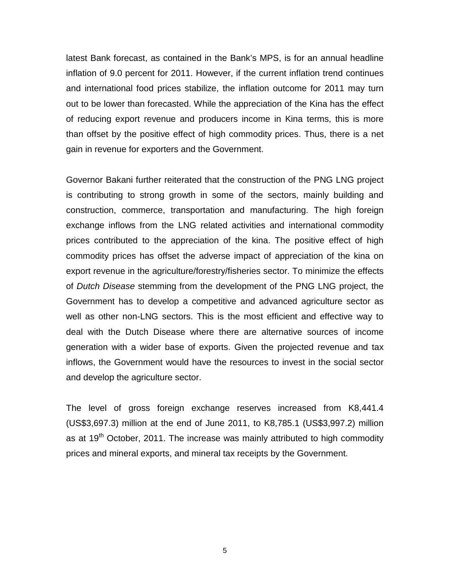latest Bank forecast, as contained in the Bank's MPS, is for an annual headline inflation of 9.0 percent for 2011. However, if the current inflation trend continues and international food prices stabilize, the inflation outcome for 2011 may turn out to be lower than forecasted. While the appreciation of the Kina has the effect of reducing export revenue and producers income in Kina terms, this is more than offset by the positive effect of high commodity prices. Thus, there is a net gain in revenue for exporters and the Government.

Governor Bakani further reiterated that the construction of the PNG LNG project is contributing to strong growth in some of the sectors, mainly building and construction, commerce, transportation and manufacturing. The high foreign exchange inflows from the LNG related activities and international commodity prices contributed to the appreciation of the kina. The positive effect of high commodity prices has offset the adverse impact of appreciation of the kina on export revenue in the agriculture/forestry/fisheries sector. To minimize the effects of *Dutch Disease* stemming from the development of the PNG LNG project, the Government has to develop a competitive and advanced agriculture sector as well as other non-LNG sectors. This is the most efficient and effective way to deal with the Dutch Disease where there are alternative sources of income generation with a wider base of exports. Given the projected revenue and tax inflows, the Government would have the resources to invest in the social sector and develop the agriculture sector.

The level of gross foreign exchange reserves increased from K8,441.4 (US\$3,697.3) million at the end of June 2011, to K8,785.1 (US\$3,997.2) million as at  $19<sup>th</sup>$  October, 2011. The increase was mainly attributed to high commodity prices and mineral exports, and mineral tax receipts by the Government.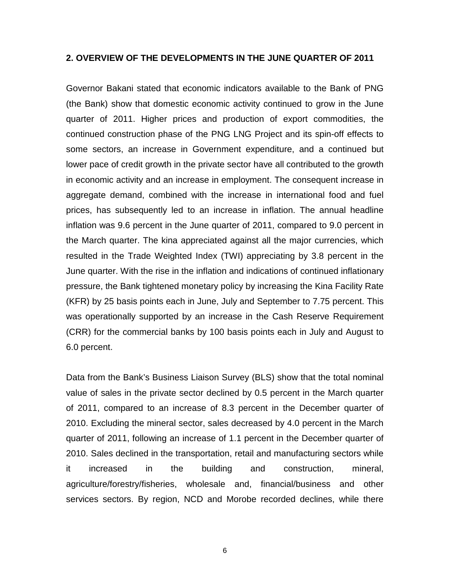## **2. OVERVIEW OF THE DEVELOPMENTS IN THE JUNE QUARTER OF 2011**

Governor Bakani stated that economic indicators available to the Bank of PNG (the Bank) show that domestic economic activity continued to grow in the June quarter of 2011. Higher prices and production of export commodities, the continued construction phase of the PNG LNG Project and its spin-off effects to some sectors, an increase in Government expenditure, and a continued but lower pace of credit growth in the private sector have all contributed to the growth in economic activity and an increase in employment. The consequent increase in aggregate demand, combined with the increase in international food and fuel prices, has subsequently led to an increase in inflation. The annual headline inflation was 9.6 percent in the June quarter of 2011, compared to 9.0 percent in the March quarter. The kina appreciated against all the major currencies, which resulted in the Trade Weighted Index (TWI) appreciating by 3.8 percent in the June quarter. With the rise in the inflation and indications of continued inflationary pressure, the Bank tightened monetary policy by increasing the Kina Facility Rate (KFR) by 25 basis points each in June, July and September to 7.75 percent. This was operationally supported by an increase in the Cash Reserve Requirement (CRR) for the commercial banks by 100 basis points each in July and August to 6.0 percent.

Data from the Bank's Business Liaison Survey (BLS) show that the total nominal value of sales in the private sector declined by 0.5 percent in the March quarter of 2011, compared to an increase of 8.3 percent in the December quarter of 2010. Excluding the mineral sector, sales decreased by 4.0 percent in the March quarter of 2011, following an increase of 1.1 percent in the December quarter of 2010. Sales declined in the transportation, retail and manufacturing sectors while it increased in the building and construction, mineral, agriculture/forestry/fisheries, wholesale and, financial/business and other services sectors. By region, NCD and Morobe recorded declines, while there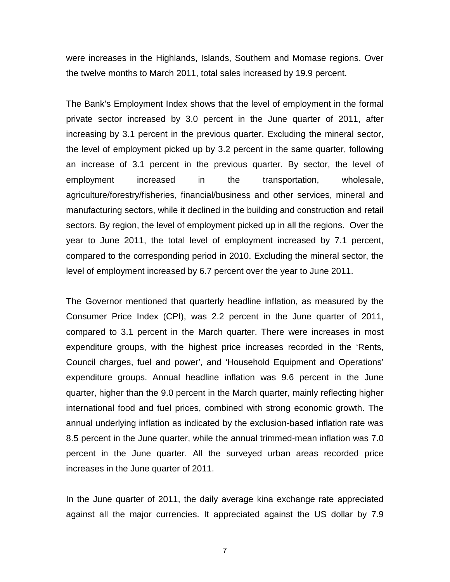were increases in the Highlands, Islands, Southern and Momase regions. Over the twelve months to March 2011, total sales increased by 19.9 percent.

The Bank's Employment Index shows that the level of employment in the formal private sector increased by 3.0 percent in the June quarter of 2011, after increasing by 3.1 percent in the previous quarter. Excluding the mineral sector, the level of employment picked up by 3.2 percent in the same quarter, following an increase of 3.1 percent in the previous quarter. By sector, the level of employment increased in the transportation, wholesale, agriculture/forestry/fisheries, financial/business and other services, mineral and manufacturing sectors, while it declined in the building and construction and retail sectors. By region, the level of employment picked up in all the regions. Over the year to June 2011, the total level of employment increased by 7.1 percent, compared to the corresponding period in 2010. Excluding the mineral sector, the level of employment increased by 6.7 percent over the year to June 2011.

The Governor mentioned that quarterly headline inflation, as measured by the Consumer Price Index (CPI), was 2.2 percent in the June quarter of 2011, compared to 3.1 percent in the March quarter. There were increases in most expenditure groups, with the highest price increases recorded in the 'Rents, Council charges, fuel and power', and 'Household Equipment and Operations' expenditure groups. Annual headline inflation was 9.6 percent in the June quarter, higher than the 9.0 percent in the March quarter, mainly reflecting higher international food and fuel prices, combined with strong economic growth. The annual underlying inflation as indicated by the exclusion-based inflation rate was 8.5 percent in the June quarter, while the annual trimmed-mean inflation was 7.0 percent in the June quarter. All the surveyed urban areas recorded price increases in the June quarter of 2011.

In the June quarter of 2011, the daily average kina exchange rate appreciated against all the major currencies. It appreciated against the US dollar by 7.9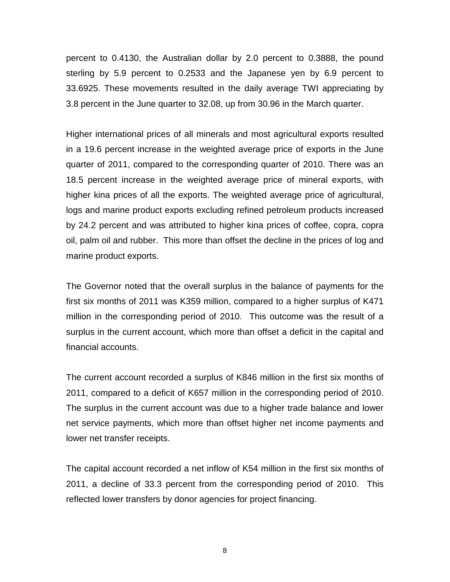percent to 0.4130, the Australian dollar by 2.0 percent to 0.3888, the pound sterling by 5.9 percent to 0.2533 and the Japanese yen by 6.9 percent to 33.6925. These movements resulted in the daily average TWI appreciating by 3.8 percent in the June quarter to 32.08, up from 30.96 in the March quarter.

Higher international prices of all minerals and most agricultural exports resulted in a 19.6 percent increase in the weighted average price of exports in the June quarter of 2011, compared to the corresponding quarter of 2010. There was an 18.5 percent increase in the weighted average price of mineral exports, with higher kina prices of all the exports. The weighted average price of agricultural, logs and marine product exports excluding refined petroleum products increased by 24.2 percent and was attributed to higher kina prices of coffee, copra, copra oil, palm oil and rubber. This more than offset the decline in the prices of log and marine product exports.

The Governor noted that the overall surplus in the balance of payments for the first six months of 2011 was K359 million, compared to a higher surplus of K471 million in the corresponding period of 2010. This outcome was the result of a surplus in the current account, which more than offset a deficit in the capital and financial accounts.

The current account recorded a surplus of K846 million in the first six months of 2011, compared to a deficit of K657 million in the corresponding period of 2010. The surplus in the current account was due to a higher trade balance and lower net service payments, which more than offset higher net income payments and lower net transfer receipts.

The capital account recorded a net inflow of K54 million in the first six months of 2011, a decline of 33.3 percent from the corresponding period of 2010. This reflected lower transfers by donor agencies for project financing.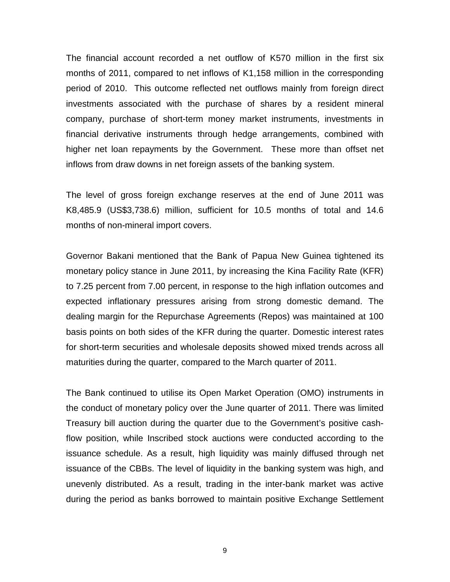The financial account recorded a net outflow of K570 million in the first six months of 2011, compared to net inflows of K1,158 million in the corresponding period of 2010. This outcome reflected net outflows mainly from foreign direct investments associated with the purchase of shares by a resident mineral company, purchase of short-term money market instruments, investments in financial derivative instruments through hedge arrangements, combined with higher net loan repayments by the Government. These more than offset net inflows from draw downs in net foreign assets of the banking system.

The level of gross foreign exchange reserves at the end of June 2011 was K8,485.9 (US\$3,738.6) million, sufficient for 10.5 months of total and 14.6 months of non-mineral import covers.

Governor Bakani mentioned that the Bank of Papua New Guinea tightened its monetary policy stance in June 2011, by increasing the Kina Facility Rate (KFR) to 7.25 percent from 7.00 percent, in response to the high inflation outcomes and expected inflationary pressures arising from strong domestic demand. The dealing margin for the Repurchase Agreements (Repos) was maintained at 100 basis points on both sides of the KFR during the quarter. Domestic interest rates for short-term securities and wholesale deposits showed mixed trends across all maturities during the quarter, compared to the March quarter of 2011.

The Bank continued to utilise its Open Market Operation (OMO) instruments in the conduct of monetary policy over the June quarter of 2011. There was limited Treasury bill auction during the quarter due to the Government's positive cashflow position, while Inscribed stock auctions were conducted according to the issuance schedule. As a result, high liquidity was mainly diffused through net issuance of the CBBs. The level of liquidity in the banking system was high, and unevenly distributed. As a result, trading in the inter-bank market was active during the period as banks borrowed to maintain positive Exchange Settlement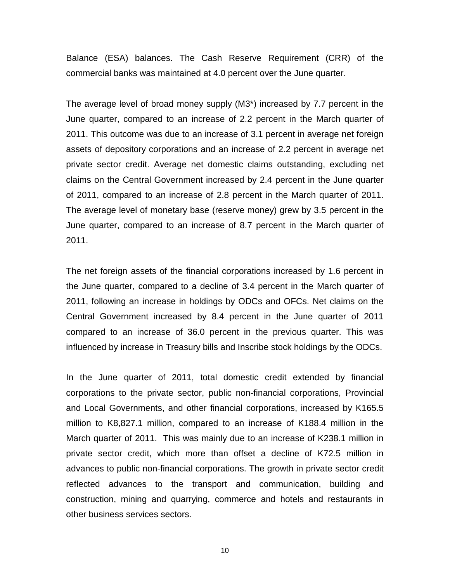Balance (ESA) balances. The Cash Reserve Requirement (CRR) of the commercial banks was maintained at 4.0 percent over the June quarter.

The average level of broad money supply (M3\*) increased by 7.7 percent in the June quarter, compared to an increase of 2.2 percent in the March quarter of 2011. This outcome was due to an increase of 3.1 percent in average net foreign assets of depository corporations and an increase of 2.2 percent in average net private sector credit. Average net domestic claims outstanding, excluding net claims on the Central Government increased by 2.4 percent in the June quarter of 2011, compared to an increase of 2.8 percent in the March quarter of 2011. The average level of monetary base (reserve money) grew by 3.5 percent in the June quarter, compared to an increase of 8.7 percent in the March quarter of 2011.

The net foreign assets of the financial corporations increased by 1.6 percent in the June quarter, compared to a decline of 3.4 percent in the March quarter of 2011, following an increase in holdings by ODCs and OFCs. Net claims on the Central Government increased by 8.4 percent in the June quarter of 2011 compared to an increase of 36.0 percent in the previous quarter. This was influenced by increase in Treasury bills and Inscribe stock holdings by the ODCs.

In the June quarter of 2011, total domestic credit extended by financial corporations to the private sector, public non-financial corporations, Provincial and Local Governments, and other financial corporations, increased by K165.5 million to K8,827.1 million, compared to an increase of K188.4 million in the March quarter of 2011. This was mainly due to an increase of K238.1 million in private sector credit, which more than offset a decline of K72.5 million in advances to public non-financial corporations. The growth in private sector credit reflected advances to the transport and communication, building and construction, mining and quarrying, commerce and hotels and restaurants in other business services sectors.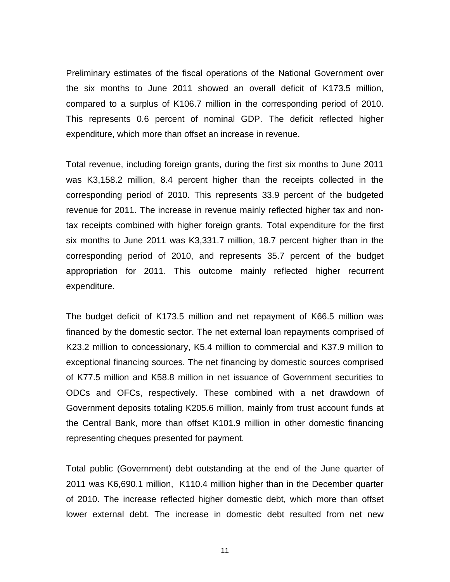Preliminary estimates of the fiscal operations of the National Government over the six months to June 2011 showed an overall deficit of K173.5 million, compared to a surplus of K106.7 million in the corresponding period of 2010. This represents 0.6 percent of nominal GDP. The deficit reflected higher expenditure, which more than offset an increase in revenue.

Total revenue, including foreign grants, during the first six months to June 2011 was K3,158.2 million, 8.4 percent higher than the receipts collected in the corresponding period of 2010. This represents 33.9 percent of the budgeted revenue for 2011. The increase in revenue mainly reflected higher tax and nontax receipts combined with higher foreign grants. Total expenditure for the first six months to June 2011 was K3,331.7 million, 18.7 percent higher than in the corresponding period of 2010, and represents 35.7 percent of the budget appropriation for 2011. This outcome mainly reflected higher recurrent expenditure.

The budget deficit of K173.5 million and net repayment of K66.5 million was financed by the domestic sector. The net external loan repayments comprised of K23.2 million to concessionary, K5.4 million to commercial and K37.9 million to exceptional financing sources. The net financing by domestic sources comprised of K77.5 million and K58.8 million in net issuance of Government securities to ODCs and OFCs, respectively. These combined with a net drawdown of Government deposits totaling K205.6 million, mainly from trust account funds at the Central Bank, more than offset K101.9 million in other domestic financing representing cheques presented for payment.

Total public (Government) debt outstanding at the end of the June quarter of 2011 was K6,690.1 million, K110.4 million higher than in the December quarter of 2010. The increase reflected higher domestic debt, which more than offset lower external debt. The increase in domestic debt resulted from net new